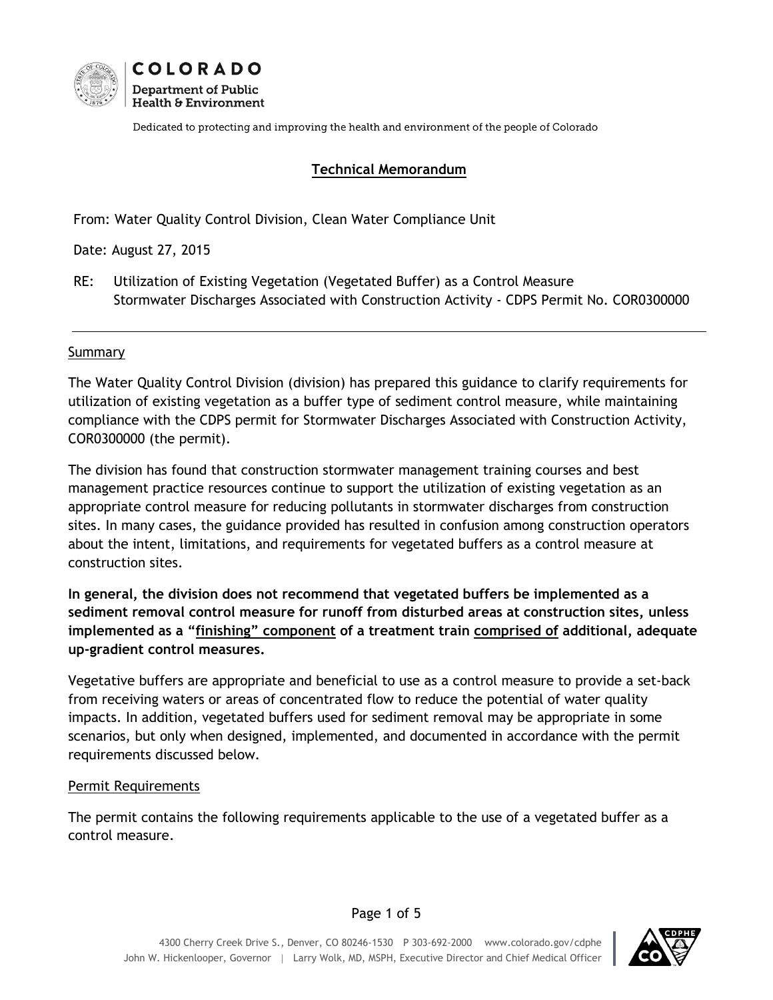

Dedicated to protecting and improving the health and environment of the people of Colorado

### **Technical Memorandum**

From: Water Quality Control Division, Clean Water Compliance Unit

Date: August 27, 2015

RE: Utilization of Existing Vegetation (Vegetated Buffer) as a Control Measure Stormwater Discharges Associated with Construction Activity - CDPS Permit No. COR0300000

#### Summary

The Water Quality Control Division (division) has prepared this guidance to clarify requirements for utilization of existing vegetation as a buffer type of sediment control measure, while maintaining compliance with the CDPS permit for Stormwater Discharges Associated with Construction Activity, COR0300000 (the permit).

The division has found that construction stormwater management training courses and best management practice resources continue to support the utilization of existing vegetation as an appropriate control measure for reducing pollutants in stormwater discharges from construction sites. In many cases, the guidance provided has resulted in confusion among construction operators about the intent, limitations, and requirements for vegetated buffers as a control measure at construction sites.

**In general, the division does not recommend that vegetated buffers be implemented as a sediment removal control measure for runoff from disturbed areas at construction sites, unless implemented as a "finishing" component of a treatment train comprised of additional, adequate up-gradient control measures.**

Vegetative buffers are appropriate and beneficial to use as a control measure to provide a set-back from receiving waters or areas of concentrated flow to reduce the potential of water quality impacts. In addition, vegetated buffers used for sediment removal may be appropriate in some scenarios, but only when designed, implemented, and documented in accordance with the permit requirements discussed below.

#### Permit Requirements

The permit contains the following requirements applicable to the use of a vegetated buffer as a control measure.

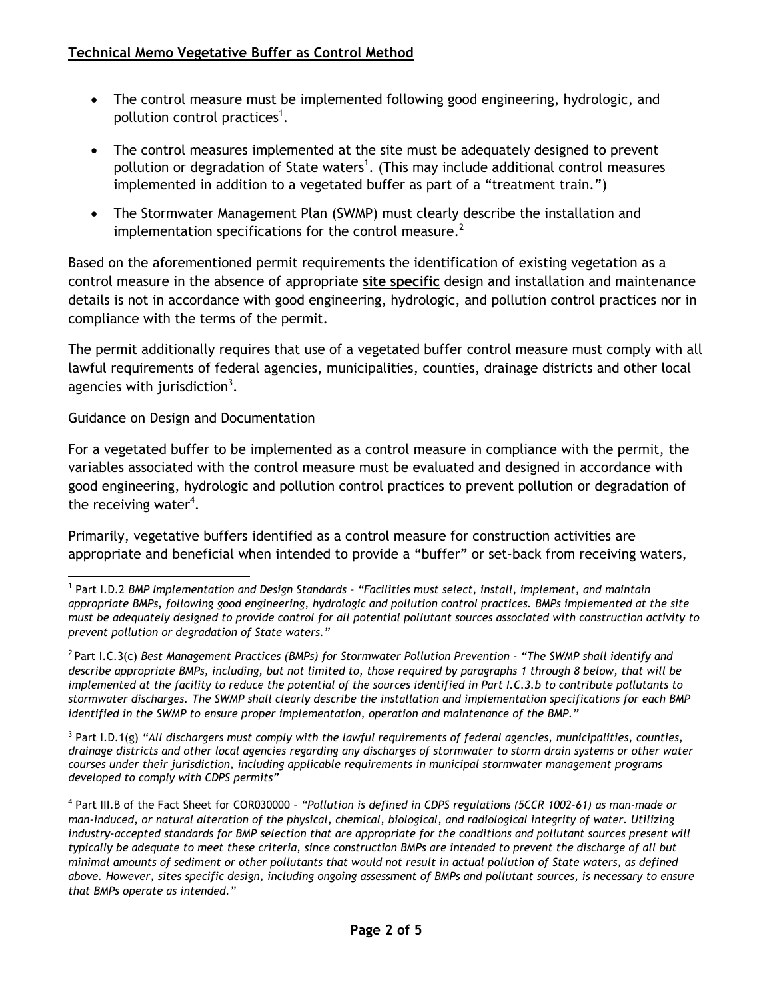- The control measure must be implemented following good engineering, hydrologic, and pollution control practices<sup>1</sup>.
- The control measures implemented at the site must be adequately designed to prevent pollution or degradation of State waters<sup>1</sup>. (This may include additional control measures implemented in addition to a vegetated buffer as part of a "treatment train.")
- The Stormwater Management Plan (SWMP) must clearly describe the installation and implementation specifications for the control measure.<sup>2</sup>

Based on the aforementioned permit requirements the identification of existing vegetation as a control measure in the absence of appropriate **site specific** design and installation and maintenance details is not in accordance with good engineering, hydrologic, and pollution control practices nor in compliance with the terms of the permit.

The permit additionally requires that use of a vegetated buffer control measure must comply with all lawful requirements of federal agencies, municipalities, counties, drainage districts and other local agencies with jurisdiction<sup>3</sup>.

## Guidance on Design and Documentation

For a vegetated buffer to be implemented as a control measure in compliance with the permit, the variables associated with the control measure must be evaluated and designed in accordance with good engineering, hydrologic and pollution control practices to prevent pollution or degradation of the receiving water<sup>4</sup>.

Primarily, vegetative buffers identified as a control measure for construction activities are appropriate and beneficial when intended to provide a "buffer" or set-back from receiving waters,

 1 Part I.D.2 *BMP Implementation and Design Standards – "Facilities must select, install, implement, and maintain appropriate BMPs, following good engineering, hydrologic and pollution control practices. BMPs implemented at the site must be adequately designed to provide control for all potential pollutant sources associated with construction activity to prevent pollution or degradation of State waters."*

*<sup>2</sup>* Part I.C.3(c) *Best Management Practices (BMPs) for Stormwater Pollution Prevention - "The SWMP shall identify and describe appropriate BMPs, including, but not limited to, those required by paragraphs 1 through 8 below, that will be implemented at the facility to reduce the potential of the sources identified in Part I.C.3.b to contribute pollutants to stormwater discharges. The SWMP shall clearly describe the installation and implementation specifications for each BMP identified in the SWMP to ensure proper implementation, operation and maintenance of the BMP."*

<sup>3</sup> Part I.D.1(g) *"All dischargers must comply with the lawful requirements of federal agencies, municipalities, counties, drainage districts and other local agencies regarding any discharges of stormwater to storm drain systems or other water courses under their jurisdiction, including applicable requirements in municipal stormwater management programs developed to comply with CDPS permits"*

<sup>4</sup> Part III.B of the Fact Sheet for COR030000 – *"Pollution is defined in CDPS regulations (5CCR 1002-61) as man-made or man-induced, or natural alteration of the physical, chemical, biological, and radiological integrity of water. Utilizing industry-accepted standards for BMP selection that are appropriate for the conditions and pollutant sources present will typically be adequate to meet these criteria, since construction BMPs are intended to prevent the discharge of all but minimal amounts of sediment or other pollutants that would not result in actual pollution of State waters, as defined above. However, sites specific design, including ongoing assessment of BMPs and pollutant sources, is necessary to ensure that BMPs operate as intended."*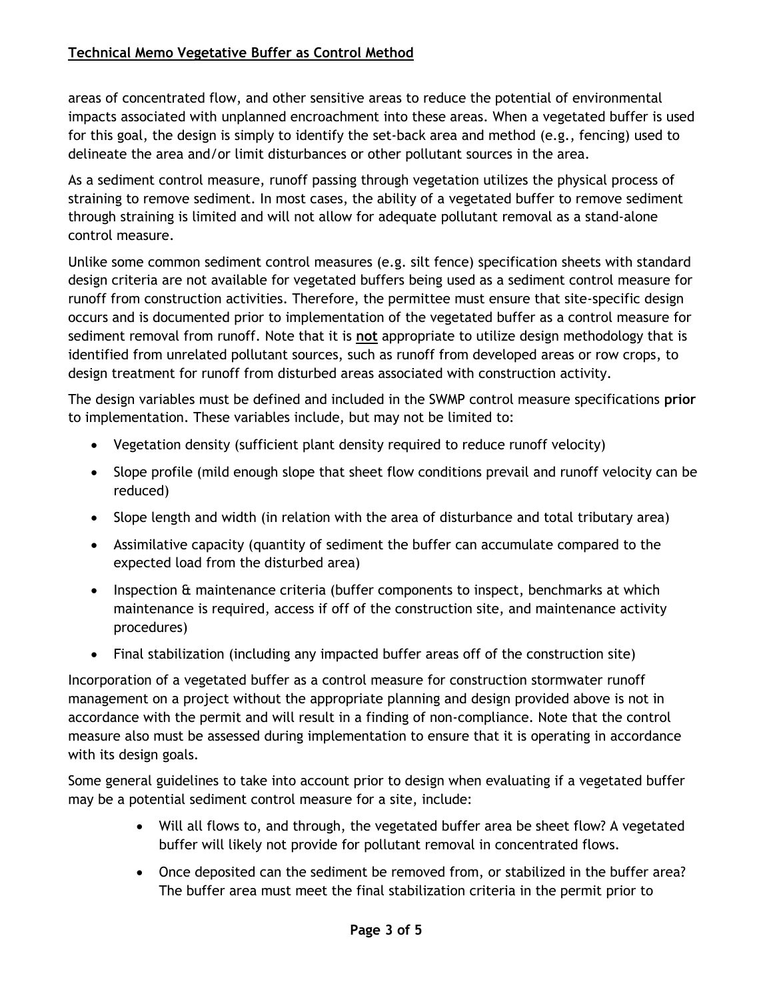# **Technical Memo Vegetative Buffer as Control Method**

areas of concentrated flow, and other sensitive areas to reduce the potential of environmental impacts associated with unplanned encroachment into these areas. When a vegetated buffer is used for this goal, the design is simply to identify the set-back area and method (e.g., fencing) used to delineate the area and/or limit disturbances or other pollutant sources in the area.

As a sediment control measure, runoff passing through vegetation utilizes the physical process of straining to remove sediment. In most cases, the ability of a vegetated buffer to remove sediment through straining is limited and will not allow for adequate pollutant removal as a stand-alone control measure.

Unlike some common sediment control measures (e.g. silt fence) specification sheets with standard design criteria are not available for vegetated buffers being used as a sediment control measure for runoff from construction activities. Therefore, the permittee must ensure that site-specific design occurs and is documented prior to implementation of the vegetated buffer as a control measure for sediment removal from runoff. Note that it is **not** appropriate to utilize design methodology that is identified from unrelated pollutant sources, such as runoff from developed areas or row crops, to design treatment for runoff from disturbed areas associated with construction activity.

The design variables must be defined and included in the SWMP control measure specifications **prior** to implementation. These variables include, but may not be limited to:

- Vegetation density (sufficient plant density required to reduce runoff velocity)
- Slope profile (mild enough slope that sheet flow conditions prevail and runoff velocity can be reduced)
- Slope length and width (in relation with the area of disturbance and total tributary area)
- Assimilative capacity (quantity of sediment the buffer can accumulate compared to the expected load from the disturbed area)
- Inspection & maintenance criteria (buffer components to inspect, benchmarks at which maintenance is required, access if off of the construction site, and maintenance activity procedures)
- Final stabilization (including any impacted buffer areas off of the construction site)

Incorporation of a vegetated buffer as a control measure for construction stormwater runoff management on a project without the appropriate planning and design provided above is not in accordance with the permit and will result in a finding of non-compliance. Note that the control measure also must be assessed during implementation to ensure that it is operating in accordance with its design goals.

Some general guidelines to take into account prior to design when evaluating if a vegetated buffer may be a potential sediment control measure for a site, include:

- Will all flows to, and through, the vegetated buffer area be sheet flow? A vegetated buffer will likely not provide for pollutant removal in concentrated flows.
- Once deposited can the sediment be removed from, or stabilized in the buffer area? The buffer area must meet the final stabilization criteria in the permit prior to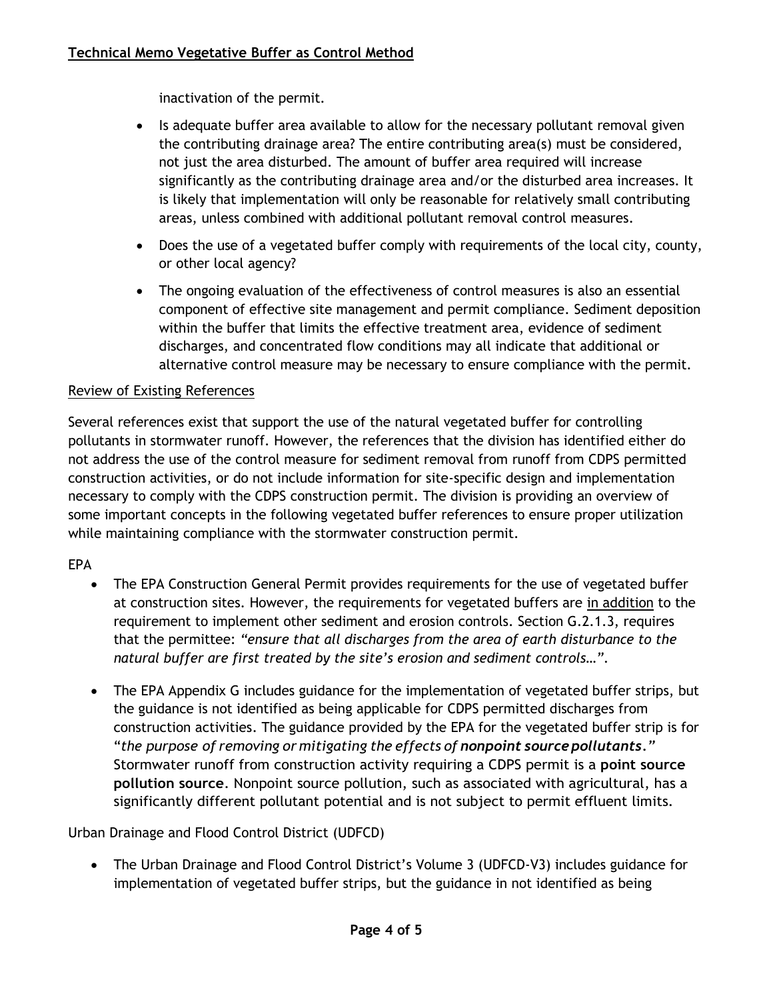inactivation of the permit.

- Is adequate buffer area available to allow for the necessary pollutant removal given the contributing drainage area? The entire contributing area(s) must be considered, not just the area disturbed. The amount of buffer area required will increase significantly as the contributing drainage area and/or the disturbed area increases. It is likely that implementation will only be reasonable for relatively small contributing areas, unless combined with additional pollutant removal control measures.
- Does the use of a vegetated buffer comply with requirements of the local city, county, or other local agency?
- The ongoing evaluation of the effectiveness of control measures is also an essential component of effective site management and permit compliance. Sediment deposition within the buffer that limits the effective treatment area, evidence of sediment discharges, and concentrated flow conditions may all indicate that additional or alternative control measure may be necessary to ensure compliance with the permit.

# Review of Existing References

Several references exist that support the use of the natural vegetated buffer for controlling pollutants in stormwater runoff. However, the references that the division has identified either do not address the use of the control measure for sediment removal from runoff from CDPS permitted construction activities, or do not include information for site-specific design and implementation necessary to comply with the CDPS construction permit. The division is providing an overview of some important concepts in the following vegetated buffer references to ensure proper utilization while maintaining compliance with the stormwater construction permit.

## EPA

- The EPA Construction General Permit provides requirements for the use of vegetated buffer at construction sites. However, the requirements for vegetated buffers are in addition to the requirement to implement other sediment and erosion controls. Section G.2.1.3, requires that the permittee: *"ensure that all discharges from the area of earth disturbance to the natural buffer are first treated by the site's erosion and sediment controls…"*.
- The EPA Appendix G includes guidance for the implementation of vegetated buffer strips, but the guidance is not identified as being applicable for CDPS permitted discharges from construction activities. The guidance provided by the EPA for the vegetated buffer strip is for "*the purpose of removing or mitigating the effects of nonpoint sourcepollutants."*  Stormwater runoff from construction activity requiring a CDPS permit is a **point source pollution source**. Nonpoint source pollution, such as associated with agricultural, has a significantly different pollutant potential and is not subject to permit effluent limits.

Urban Drainage and Flood Control District (UDFCD)

 The Urban Drainage and Flood Control District's Volume 3 (UDFCD-V3) includes guidance for implementation of vegetated buffer strips, but the guidance in not identified as being